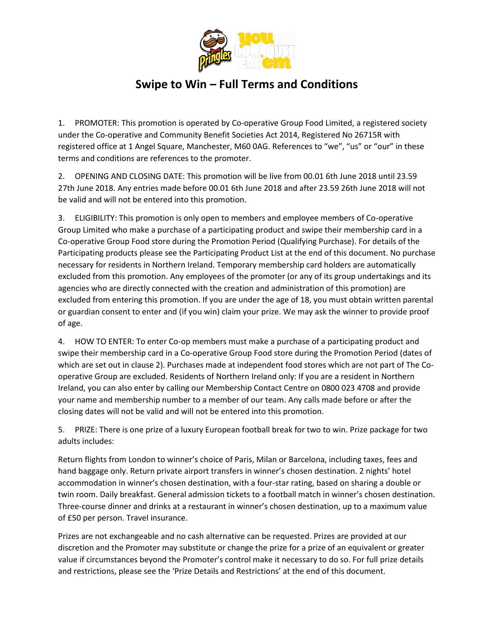

## **Swipe to Win – Full Terms and Conditions**

1. PROMOTER: This promotion is operated by Co-operative Group Food Limited, a registered society under the Co-operative and Community Benefit Societies Act 2014, Registered No 26715R with registered office at 1 Angel Square, Manchester, M60 0AG. References to "we", "us" or "our" in these terms and conditions are references to the promoter.

2. OPENING AND CLOSING DATE: This promotion will be live from 00.01 6th June 2018 until 23.59 27th June 2018. Any entries made before 00.01 6th June 2018 and after 23.59 26th June 2018 will not be valid and will not be entered into this promotion.

3. ELIGIBILITY: This promotion is only open to members and employee members of Co-operative Group Limited who make a purchase of a participating product and swipe their membership card in a Co-operative Group Food store during the Promotion Period (Qualifying Purchase). For details of the Participating products please see the Participating Product List at the end of this document. No purchase necessary for residents in Northern Ireland. Temporary membership card holders are automatically excluded from this promotion. Any employees of the promoter (or any of its group undertakings and its agencies who are directly connected with the creation and administration of this promotion) are excluded from entering this promotion. If you are under the age of 18, you must obtain written parental or guardian consent to enter and (if you win) claim your prize. We may ask the winner to provide proof of age.

4. HOW TO ENTER: To enter Co-op members must make a purchase of a participating product and swipe their membership card in a Co-operative Group Food store during the Promotion Period (dates of which are set out in clause 2). Purchases made at independent food stores which are not part of The Cooperative Group are excluded. Residents of Northern Ireland only: If you are a resident in Northern Ireland, you can also enter by calling our Membership Contact Centre on 0800 023 4708 and provide your name and membership number to a member of our team. Any calls made before or after the closing dates will not be valid and will not be entered into this promotion.

5. PRIZE: There is one prize of a luxury European football break for two to win. Prize package for two adults includes:

Return flights from London to winner's choice of Paris, Milan or Barcelona, including taxes, fees and hand baggage only. Return private airport transfers in winner's chosen destination. 2 nights' hotel accommodation in winner's chosen destination, with a four-star rating, based on sharing a double or twin room. Daily breakfast. General admission tickets to a football match in winner's chosen destination. Three-course dinner and drinks at a restaurant in winner's chosen destination, up to a maximum value of £50 per person. Travel insurance.

Prizes are not exchangeable and no cash alternative can be requested. Prizes are provided at our discretion and the Promoter may substitute or change the prize for a prize of an equivalent or greater value if circumstances beyond the Promoter's control make it necessary to do so. For full prize details and restrictions, please see the 'Prize Details and Restrictions' at the end of this document.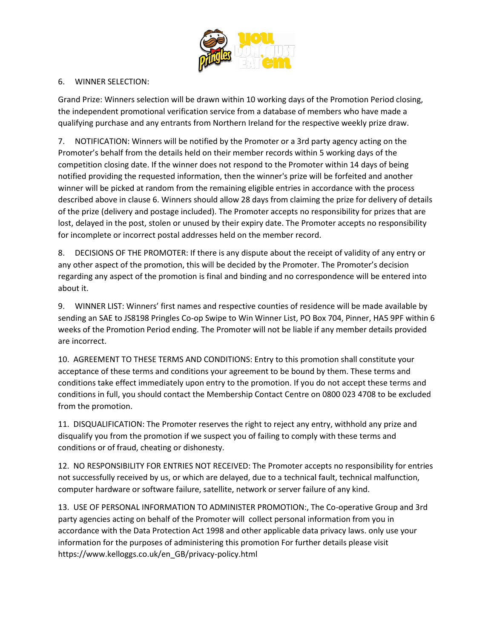

## 6. WINNER SELECTION:

Grand Prize: Winners selection will be drawn within 10 working days of the Promotion Period closing, the independent promotional verification service from a database of members who have made a qualifying purchase and any entrants from Northern Ireland for the respective weekly prize draw.

7. NOTIFICATION: Winners will be notified by the Promoter or a 3rd party agency acting on the Promoter's behalf from the details held on their member records within 5 working days of the competition closing date. If the winner does not respond to the Promoter within 14 days of being notified providing the requested information, then the winner's prize will be forfeited and another winner will be picked at random from the remaining eligible entries in accordance with the process described above in clause 6. Winners should allow 28 days from claiming the prize for delivery of details of the prize (delivery and postage included). The Promoter accepts no responsibility for prizes that are lost, delayed in the post, stolen or unused by their expiry date. The Promoter accepts no responsibility for incomplete or incorrect postal addresses held on the member record.

8. DECISIONS OF THE PROMOTER: If there is any dispute about the receipt of validity of any entry or any other aspect of the promotion, this will be decided by the Promoter. The Promoter's decision regarding any aspect of the promotion is final and binding and no correspondence will be entered into about it.

9. WINNER LIST: Winners' first names and respective counties of residence will be made available by sending an SAE to JS8198 Pringles Co-op Swipe to Win Winner List, PO Box 704, Pinner, HA5 9PF within 6 weeks of the Promotion Period ending. The Promoter will not be liable if any member details provided are incorrect.

10. AGREEMENT TO THESE TERMS AND CONDITIONS: Entry to this promotion shall constitute your acceptance of these terms and conditions your agreement to be bound by them. These terms and conditions take effect immediately upon entry to the promotion. If you do not accept these terms and conditions in full, you should contact the Membership Contact Centre on 0800 023 4708 to be excluded from the promotion.

11. DISQUALIFICATION: The Promoter reserves the right to reject any entry, withhold any prize and disqualify you from the promotion if we suspect you of failing to comply with these terms and conditions or of fraud, cheating or dishonesty.

12. NO RESPONSIBILITY FOR ENTRIES NOT RECEIVED: The Promoter accepts no responsibility for entries not successfully received by us, or which are delayed, due to a technical fault, technical malfunction, computer hardware or software failure, satellite, network or server failure of any kind.

13. USE OF PERSONAL INFORMATION TO ADMINISTER PROMOTION:, The Co-operative Group and 3rd party agencies acting on behalf of the Promoter will collect personal information from you in accordance with the Data Protection Act 1998 and other applicable data privacy laws. only use your information for the purposes of administering this promotion For further details please visit https://www.kelloggs.co.uk/en\_GB/privacy-policy.html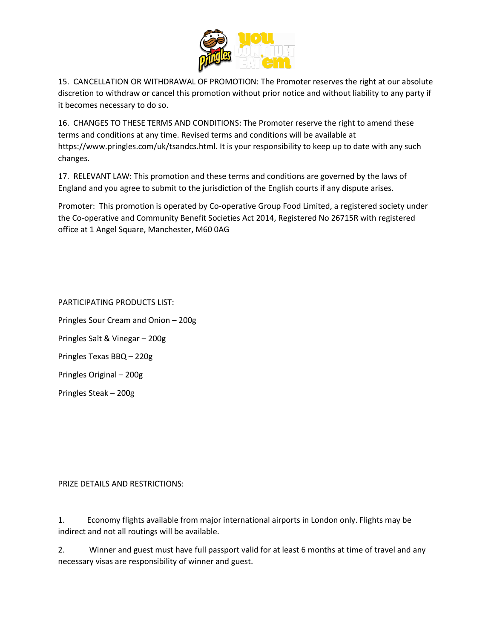

15. CANCELLATION OR WITHDRAWAL OF PROMOTION: The Promoter reserves the right at our absolute discretion to withdraw or cancel this promotion without prior notice and without liability to any party if it becomes necessary to do so.

16. CHANGES TO THESE TERMS AND CONDITIONS: The Promoter reserve the right to amend these terms and conditions at any time. Revised terms and conditions will be available at https://www.pringles.com/uk/tsandcs.html. It is your responsibility to keep up to date with any such changes.

17. RELEVANT LAW: This promotion and these terms and conditions are governed by the laws of England and you agree to submit to the jurisdiction of the English courts if any dispute arises.

Promoter: This promotion is operated by Co-operative Group Food Limited, a registered society under the Co-operative and Community Benefit Societies Act 2014, Registered No 26715R with registered office at 1 Angel Square, Manchester, M60 0AG

PARTICIPATING PRODUCTS LIST: Pringles Sour Cream and Onion – 200g Pringles Salt & Vinegar – 200g Pringles Texas BBQ – 220g Pringles Original – 200g Pringles Steak – 200g

## PRIZE DETAILS AND RESTRICTIONS:

1. Economy flights available from major international airports in London only. Flights may be indirect and not all routings will be available.

2. Winner and guest must have full passport valid for at least 6 months at time of travel and any necessary visas are responsibility of winner and guest.